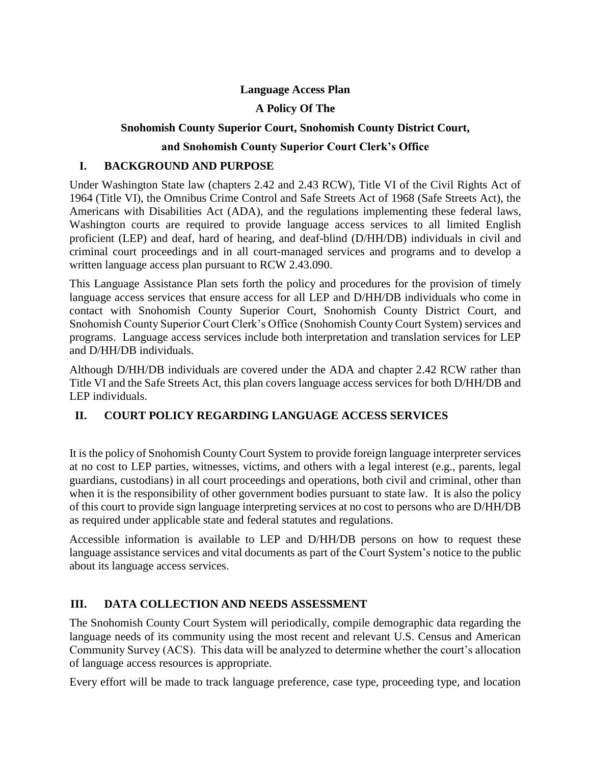# **Language Access Plan**

# **A Policy Of The**

# **Snohomish County Superior Court, Snohomish County District Court,**

# **and Snohomish County Superior Court Clerk's Office**

## **I. BACKGROUND AND PURPOSE**

Under Washington State law (chapters 2.42 and 2.43 RCW), Title VI of the Civil Rights Act of 1964 (Title VI), the Omnibus Crime Control and Safe Streets Act of 1968 (Safe Streets Act), the Americans with Disabilities Act (ADA), and the regulations implementing these federal laws, Washington courts are required to provide language access services to all limited English proficient (LEP) and deaf, hard of hearing, and deaf-blind (D/HH/DB) individuals in civil and criminal court proceedings and in all court-managed services and programs and to develop a written language access plan pursuant to RCW 2.43.090.

This Language Assistance Plan sets forth the policy and procedures for the provision of timely language access services that ensure access for all LEP and D/HH/DB individuals who come in contact with Snohomish County Superior Court, Snohomish County District Court, and Snohomish County Superior Court Clerk's Office (Snohomish County Court System) services and programs. Language access services include both interpretation and translation services for LEP and D/HH/DB individuals.

Although D/HH/DB individuals are covered under the ADA and chapter 2.42 RCW rather than Title VI and the Safe Streets Act, this plan covers language access services for both D/HH/DB and LEP individuals.

# **II. COURT POLICY REGARDING LANGUAGE ACCESS SERVICES**

It is the policy of Snohomish County Court System to provide foreign language interpreter services at no cost to LEP parties, witnesses, victims, and others with a legal interest (e.g., parents, legal guardians, custodians) in all court proceedings and operations, both civil and criminal, other than when it is the responsibility of other government bodies pursuant to state law. It is also the policy of this court to provide sign language interpreting services at no cost to persons who are D/HH/DB as required under applicable state and federal statutes and regulations.

Accessible information is available to LEP and D/HH/DB persons on how to request these language assistance services and vital documents as part of the Court System's notice to the public about its language access services.

# **III. DATA COLLECTION AND NEEDS ASSESSMENT**

The Snohomish County Court System will periodically, compile demographic data regarding the language needs of its community using the most recent and relevant U.S. Census and American Community Survey (ACS). This data will be analyzed to determine whether the court's allocation of language access resources is appropriate.

Every effort will be made to track language preference, case type, proceeding type, and location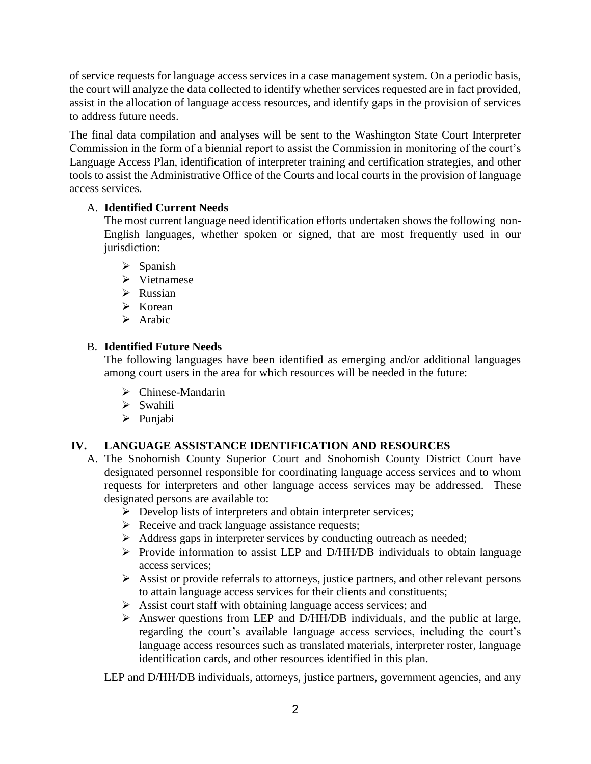of service requests for language access services in a case management system. On a periodic basis, the court will analyze the data collected to identify whether services requested are in fact provided, assist in the allocation of language access resources, and identify gaps in the provision of services to address future needs.

The final data compilation and analyses will be sent to the Washington State Court Interpreter Commission in the form of a biennial report to assist the Commission in monitoring of the court's Language Access Plan, identification of interpreter training and certification strategies, and other tools to assist the Administrative Office of the Courts and local courts in the provision of language access services.

# A. **Identified Current Needs**

The most current language need identification efforts undertaken shows the following non-English languages, whether spoken or signed, that are most frequently used in our jurisdiction:

- $\triangleright$  Spanish
- $\triangleright$  Vietnamese
- $\triangleright$  Russian
- $\triangleright$  Korean
- $\triangleright$  Arabic

# B. **Identified Future Needs**

The following languages have been identified as emerging and/or additional languages among court users in the area for which resources will be needed in the future:

- $\triangleright$  Chinese-Mandarin
- $\triangleright$  Swahili
- $\triangleright$  Punjabi

# **IV. LANGUAGE ASSISTANCE IDENTIFICATION AND RESOURCES**

- A. The Snohomish County Superior Court and Snohomish County District Court have designated personnel responsible for coordinating language access services and to whom requests for interpreters and other language access services may be addressed. These designated persons are available to:
	- $\triangleright$  Develop lists of interpreters and obtain interpreter services;
	- $\triangleright$  Receive and track language assistance requests;
	- Address gaps in interpreter services by conducting outreach as needed;
	- $\triangleright$  Provide information to assist LEP and D/HH/DB individuals to obtain language access services;
	- $\triangleright$  Assist or provide referrals to attorneys, justice partners, and other relevant persons to attain language access services for their clients and constituents;
	- $\triangleright$  Assist court staff with obtaining language access services; and
	- Answer questions from LEP and D/HH/DB individuals, and the public at large, regarding the court's available language access services, including the court's language access resources such as translated materials, interpreter roster, language identification cards, and other resources identified in this plan.

LEP and D/HH/DB individuals, attorneys, justice partners, government agencies, and any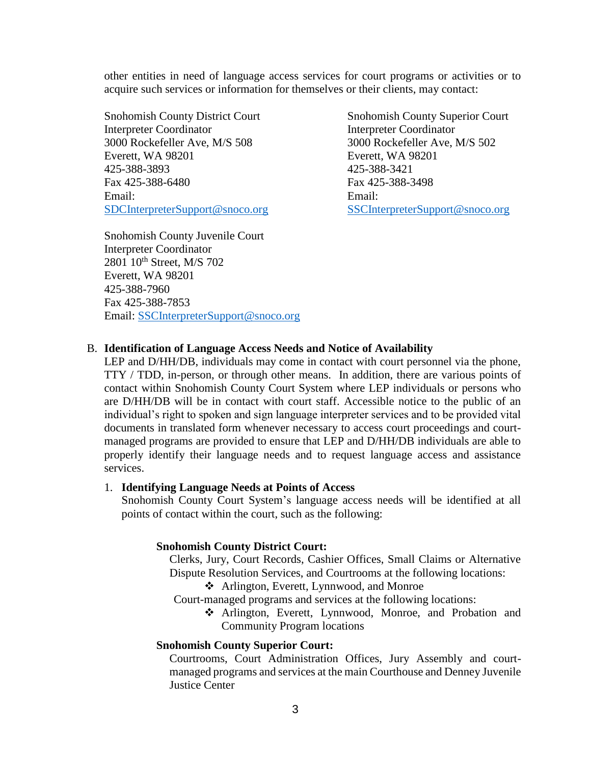other entities in need of language access services for court programs or activities or to acquire such services or information for themselves or their clients, may contact:

Snohomish County District Court Interpreter Coordinator 3000 Rockefeller Ave, M/S 508 Everett, WA 98201 425-388-3893 Fax 425-388-6480 Email: [SDCInterpreterSupport@snoco.org](mailto:SDCInterpreterSupport@snoco.org)

Snohomish County Juvenile Court Interpreter Coordinator 2801 10<sup>th</sup> Street, M/S 702 Everett, WA 98201 425-388-7960 Fax 425-388-7853 Email: [SSCInterpreterSupport@snoco.org](mailto:SSCInterpreterSupport@snoco.org) Snohomish County Superior Court Interpreter Coordinator 3000 Rockefeller Ave, M/S 502 Everett, WA 98201 425-388-3421 Fax 425-388-3498 Email: [SSCInterpreterSupport@snoco.org](mailto:SSCInterpreterSupport@snoco.org)

#### B. **Identification of Language Access Needs and Notice of Availability**

LEP and D/HH/DB, individuals may come in contact with court personnel via the phone, TTY / TDD, in-person, or through other means. In addition, there are various points of contact within Snohomish County Court System where LEP individuals or persons who are D/HH/DB will be in contact with court staff. Accessible notice to the public of an individual's right to spoken and sign language interpreter services and to be provided vital documents in translated form whenever necessary to access court proceedings and courtmanaged programs are provided to ensure that LEP and D/HH/DB individuals are able to properly identify their language needs and to request language access and assistance services.

#### 1. **Identifying Language Needs at Points of Access**

Snohomish County Court System's language access needs will be identified at all points of contact within the court, such as the following:

#### **Snohomish County District Court:**

Clerks, Jury, Court Records, Cashier Offices, Small Claims or Alternative Dispute Resolution Services, and Courtrooms at the following locations:

Arlington, Everett, Lynnwood, and Monroe

Court-managed programs and services at the following locations:

 Arlington, Everett, Lynnwood, Monroe, and Probation and Community Program locations

#### **Snohomish County Superior Court:**

Courtrooms, Court Administration Offices, Jury Assembly and courtmanaged programs and services at the main Courthouse and Denney Juvenile Justice Center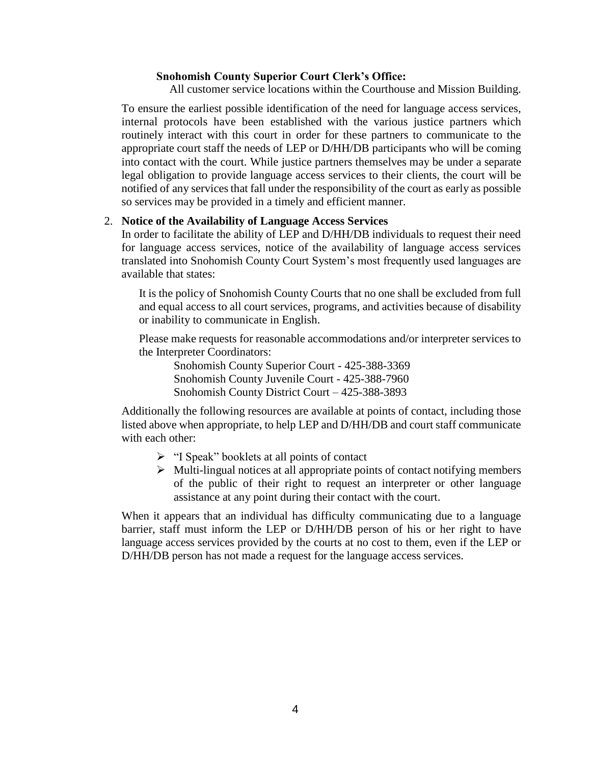#### **Snohomish County Superior Court Clerk's Office:**

All customer service locations within the Courthouse and Mission Building.

To ensure the earliest possible identification of the need for language access services, internal protocols have been established with the various justice partners which routinely interact with this court in order for these partners to communicate to the appropriate court staff the needs of LEP or D/HH/DB participants who will be coming into contact with the court. While justice partners themselves may be under a separate legal obligation to provide language access services to their clients, the court will be notified of any services that fall under the responsibility of the court as early as possible so services may be provided in a timely and efficient manner.

#### 2. **Notice of the Availability of Language Access Services**

In order to facilitate the ability of LEP and D/HH/DB individuals to request their need for language access services, notice of the availability of language access services translated into Snohomish County Court System's most frequently used languages are available that states:

It is the policy of Snohomish County Courts that no one shall be excluded from full and equal access to all court services, programs, and activities because of disability or inability to communicate in English.

Please make requests for reasonable accommodations and/or interpreter services to the Interpreter Coordinators:

Snohomish County Superior Court - 425-388-3369 Snohomish County Juvenile Court - 425-388-7960 Snohomish County District Court – 425-388-3893

Additionally the following resources are available at points of contact, including those listed above when appropriate, to help LEP and D/HH/DB and court staff communicate with each other:

- $\triangleright$  "I Speak" booklets at all points of contact
- $\triangleright$  Multi-lingual notices at all appropriate points of contact notifying members of the public of their right to request an interpreter or other language assistance at any point during their contact with the court.

When it appears that an individual has difficulty communicating due to a language barrier, staff must inform the LEP or D/HH/DB person of his or her right to have language access services provided by the courts at no cost to them, even if the LEP or D/HH/DB person has not made a request for the language access services.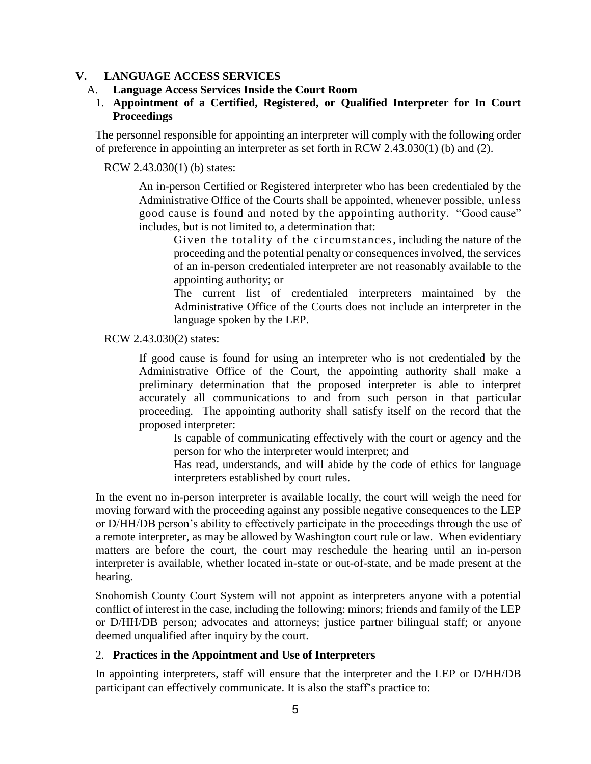### **V. LANGUAGE ACCESS SERVICES**

- A. **Language Access Services Inside the Court Room**
	- 1. **Appointment of a Certified, Registered, or Qualified Interpreter for In Court Proceedings**

The personnel responsible for appointing an interpreter will comply with the following order of preference in appointing an interpreter as set forth in RCW 2.43.030(1) (b) and (2).

#### RCW 2.43.030(1) (b) states:

An in-person Certified or Registered interpreter who has been credentialed by the Administrative Office of the Courts shall be appointed, whenever possible, unless good cause is found and noted by the appointing authority. "Good cause" includes, but is not limited to, a determination that:

Given the totality of the circumstances, including the nature of the proceeding and the potential penalty or consequences involved, the services of an in-person credentialed interpreter are not reasonably available to the appointing authority; or

The current list of credentialed interpreters maintained by the Administrative Office of the Courts does not include an interpreter in the language spoken by the LEP.

### RCW 2.43.030(2) states:

If good cause is found for using an interpreter who is not credentialed by the Administrative Office of the Court, the appointing authority shall make a preliminary determination that the proposed interpreter is able to interpret accurately all communications to and from such person in that particular proceeding. The appointing authority shall satisfy itself on the record that the proposed interpreter:

Is capable of communicating effectively with the court or agency and the person for who the interpreter would interpret; and

Has read, understands, and will abide by the code of ethics for language interpreters established by court rules.

In the event no in-person interpreter is available locally, the court will weigh the need for moving forward with the proceeding against any possible negative consequences to the LEP or D/HH/DB person's ability to effectively participate in the proceedings through the use of a remote interpreter, as may be allowed by Washington court rule or law. When evidentiary matters are before the court, the court may reschedule the hearing until an in-person interpreter is available, whether located in-state or out-of-state, and be made present at the hearing.

Snohomish County Court System will not appoint as interpreters anyone with a potential conflict of interest in the case, including the following: minors; friends and family of the LEP or D/HH/DB person; advocates and attorneys; justice partner bilingual staff; or anyone deemed unqualified after inquiry by the court.

#### 2. **Practices in the Appointment and Use of Interpreters**

In appointing interpreters, staff will ensure that the interpreter and the LEP or D/HH/DB participant can effectively communicate. It is also the staff's practice to: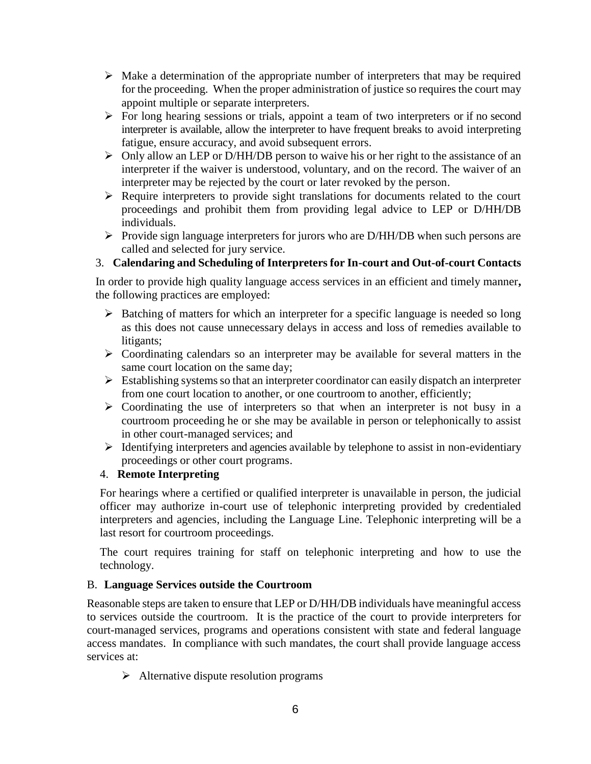- $\triangleright$  Make a determination of the appropriate number of interpreters that may be required for the proceeding. When the proper administration of justice so requires the court may appoint multiple or separate interpreters.
- $\triangleright$  For long hearing sessions or trials, appoint a team of two interpreters or if no second interpreter is available, allow the interpreter to have frequent breaks to avoid interpreting fatigue, ensure accuracy, and avoid subsequent errors.
- $\triangleright$  Only allow an LEP or D/HH/DB person to waive his or her right to the assistance of an interpreter if the waiver is understood, voluntary, and on the record. The waiver of an interpreter may be rejected by the court or later revoked by the person.
- $\triangleright$  Require interpreters to provide sight translations for documents related to the court proceedings and prohibit them from providing legal advice to LEP or D/HH/DB individuals.
- $\triangleright$  Provide sign language interpreters for jurors who are D/HH/DB when such persons are called and selected for jury service.

# 3. **Calendaring and Scheduling of Interpreters for In-court and Out-of-court Contacts**

In order to provide high quality language access services in an efficient and timely manner**,**  the following practices are employed:

- $\triangleright$  Batching of matters for which an interpreter for a specific language is needed so long as this does not cause unnecessary delays in access and loss of remedies available to litigants;
- $\triangleright$  Coordinating calendars so an interpreter may be available for several matters in the same court location on the same day;
- $\triangleright$  Establishing systems so that an interpreter coordinator can easily dispatch an interpreter from one court location to another, or one courtroom to another, efficiently;
- $\triangleright$  Coordinating the use of interpreters so that when an interpreter is not busy in a courtroom proceeding he or she may be available in person or telephonically to assist in other court-managed services; and
- $\triangleright$  Identifying interpreters and agencies available by telephone to assist in non-evidentiary proceedings or other court programs.

# 4. **Remote Interpreting**

For hearings where a certified or qualified interpreter is unavailable in person, the judicial officer may authorize in-court use of telephonic interpreting provided by credentialed interpreters and agencies, including the Language Line. Telephonic interpreting will be a last resort for courtroom proceedings.

The court requires training for staff on telephonic interpreting and how to use the technology.

# B. **Language Services outside the Courtroom**

Reasonable steps are taken to ensure that LEP or D/HH/DB individuals have meaningful access to services outside the courtroom. It is the practice of the court to provide interpreters for court-managed services, programs and operations consistent with state and federal language access mandates. In compliance with such mandates, the court shall provide language access services at:

 $\triangleright$  Alternative dispute resolution programs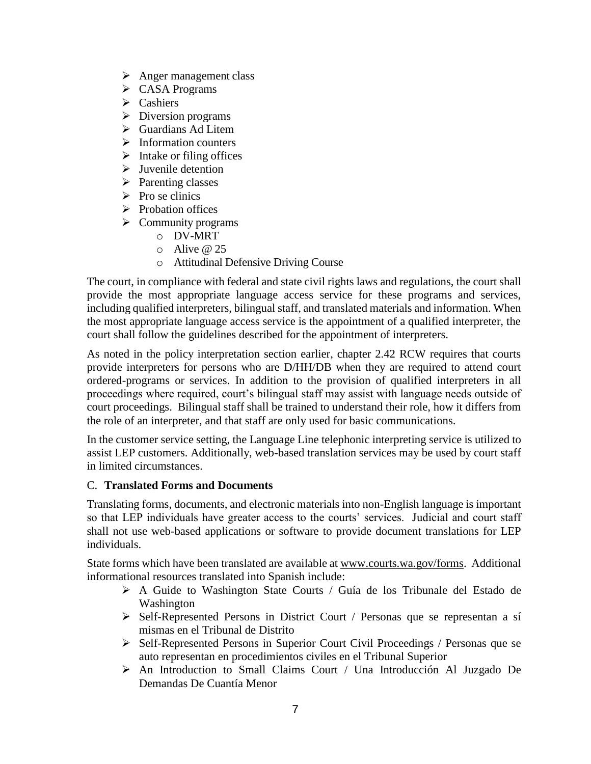- $\triangleright$  Anger management class
- CASA Programs
- $\triangleright$  Cashiers
- $\triangleright$  Diversion programs
- Guardians Ad Litem
- $\triangleright$  Information counters
- $\triangleright$  Intake or filing offices
- $\triangleright$  Juvenile detention
- $\triangleright$  Parenting classes
- $\triangleright$  Pro se clinics
- $\triangleright$  Probation offices
- $\triangleright$  Community programs
	- o DV-MRT
	- o Alive @ 25
	- o Attitudinal Defensive Driving Course

The court, in compliance with federal and state civil rights laws and regulations, the court shall provide the most appropriate language access service for these programs and services, including qualified interpreters, bilingual staff, and translated materials and information. When the most appropriate language access service is the appointment of a qualified interpreter, the court shall follow the guidelines described for the appointment of interpreters.

As noted in the policy interpretation section earlier, chapter 2.42 RCW requires that courts provide interpreters for persons who are D/HH/DB when they are required to attend court ordered-programs or services. In addition to the provision of qualified interpreters in all proceedings where required, court's bilingual staff may assist with language needs outside of court proceedings. Bilingual staff shall be trained to understand their role, how it differs from the role of an interpreter, and that staff are only used for basic communications.

In the customer service setting, the Language Line telephonic interpreting service is utilized to assist LEP customers. Additionally, web-based translation services may be used by court staff in limited circumstances.

# C. **Translated Forms and Documents**

Translating forms, documents, and electronic materials into non-English language is important so that LEP individuals have greater access to the courts' services. Judicial and court staff shall not use web-based applications or software to provide document translations for LEP individuals.

State forms which have been translated are available at [www.courts.wa.gov/forms.](http://www.courts.wa.gov/forms) Additional informational resources translated into Spanish include:

- [A Guide to Washington State Courts](http://www.courts.wa.gov/newsinfo/content/pdf/CourtGuide2011_spanish.pdf) / [Guía de los Tribunale del Estado de](http://www.courts.wa.gov/newsinfo/content/pdf/CourtGuide2011_spanish.pdf)  [Washington](http://www.courts.wa.gov/newsinfo/content/pdf/CourtGuide2011_spanish.pdf)
- [Self-Represented Persons in District Court](http://www.courts.wa.gov/programs_orgs/pos_bja/ptc/documents/DistrictCourtProSeLitigantInformation_Spanish.pdf) / Personas que se representan a sí mismas en el Tribunal de Distrito
- [Self-Represented Persons in Superior Court Civil Proceedings](http://www.courts.wa.gov/programs_orgs/pos_bja/ptc/documents/SuperiorCourtProSeLitigantInformation_Spanish.pdf) / Personas que se auto representan en procedimientos civiles en el Tribunal Superior
- [An Introduction to Small Claims Court](http://www.courts.wa.gov/newsinfo/resources/brochure_scc/smallclaimsSpanish.pdf) / [Una Introducción Al Juzgado De](http://www.courts.wa.gov/newsinfo/resources/brochure_scc/smallclaimsSpanish.pdf)  [Demandas De Cuantía Menor](http://www.courts.wa.gov/newsinfo/resources/brochure_scc/smallclaimsSpanish.pdf)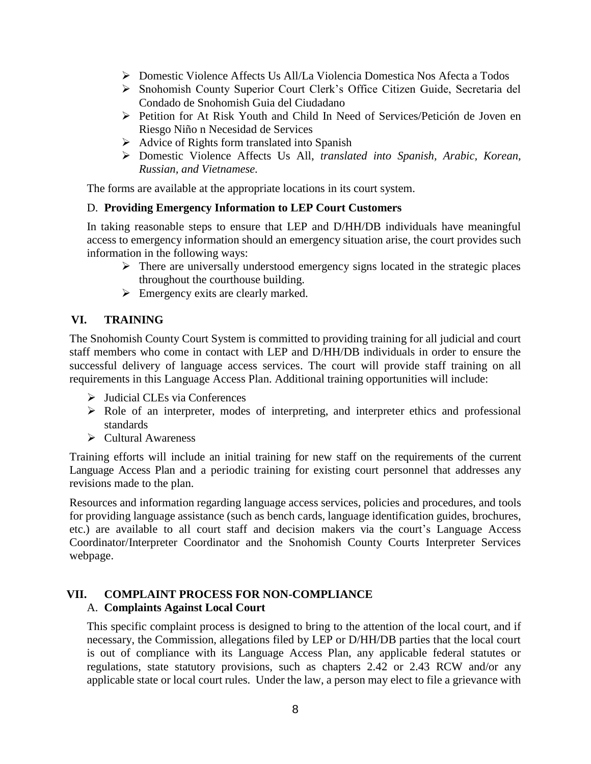- Domestic Violence Affects Us All/La Violencia Domestica Nos Afecta a Todos
- Snohomish County Superior Court Clerk's Office Citizen Guide, Secretaria del Condado de Snohomish Guia del Ciudadano
- Petition for At Risk Youth and Child In Need of Services/Petición de Joven en Riesgo Niño n Necesidad de Services
- $\triangleright$  Advice of Rights form translated into Spanish
- Domestic Violence Affects Us All, *translated into Spanish, Arabic, Korean, Russian, and Vietnamese.*

The forms are available at the appropriate locations in its court system.

### D. **Providing Emergency Information to LEP Court Customers**

In taking reasonable steps to ensure that LEP and D/HH/DB individuals have meaningful access to emergency information should an emergency situation arise, the court provides such information in the following ways:

- $\triangleright$  There are universally understood emergency signs located in the strategic places throughout the courthouse building.
- $\triangleright$  Emergency exits are clearly marked.

# **VI. TRAINING**

The Snohomish County Court System is committed to providing training for all judicial and court staff members who come in contact with LEP and D/HH/DB individuals in order to ensure the successful delivery of language access services. The court will provide staff training on all requirements in this Language Access Plan. Additional training opportunities will include:

- $\triangleright$  Judicial CLEs via Conferences
- $\triangleright$  Role of an interpreter, modes of interpreting, and interpreter ethics and professional standards
- $\triangleright$  Cultural Awareness

Training efforts will include an initial training for new staff on the requirements of the current Language Access Plan and a periodic training for existing court personnel that addresses any revisions made to the plan.

Resources and information regarding language access services, policies and procedures, and tools for providing language assistance (such as bench cards, language identification guides, brochures, etc.) are available to all court staff and decision makers via the court's Language Access Coordinator/Interpreter Coordinator and the Snohomish County Courts Interpreter Services webpage.

### **VII. COMPLAINT PROCESS FOR NON-COMPLIANCE**  A. **Complaints Against Local Court**

This specific complaint process is designed to bring to the attention of the local court, and if necessary, the Commission, allegations filed by LEP or D/HH/DB parties that the local court is out of compliance with its Language Access Plan, any applicable federal statutes or regulations, state statutory provisions, such as chapters 2.42 or 2.43 RCW and/or any applicable state or local court rules. Under the law, a person may elect to file a grievance with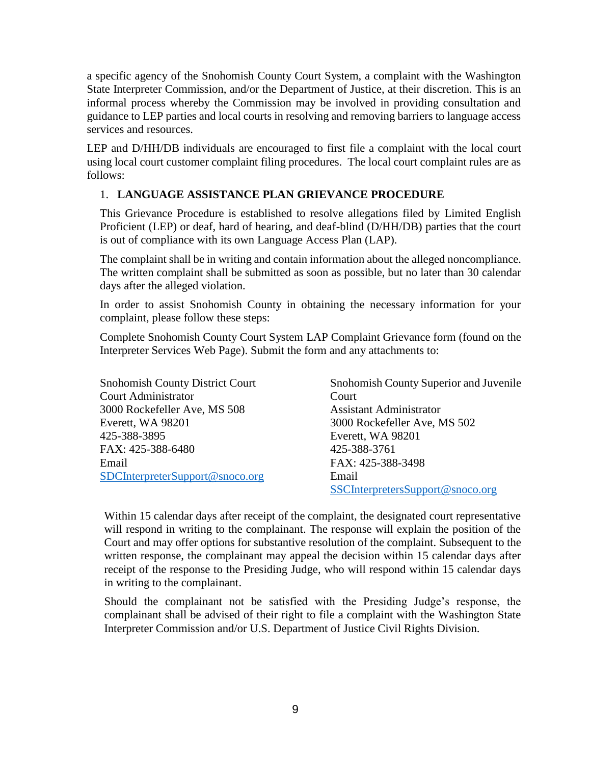a specific agency of the Snohomish County Court System, a complaint with the Washington State Interpreter Commission, and/or the Department of Justice, at their discretion. This is an informal process whereby the Commission may be involved in providing consultation and guidance to LEP parties and local courts in resolving and removing barriers to language access services and resources.

LEP and D/HH/DB individuals are encouraged to first file a complaint with the local court using local court customer complaint filing procedures. The local court complaint rules are as follows:

# 1. **LANGUAGE ASSISTANCE PLAN GRIEVANCE PROCEDURE**

This Grievance Procedure is established to resolve allegations filed by Limited English Proficient (LEP) or deaf, hard of hearing, and deaf-blind (D/HH/DB) parties that the court is out of compliance with its own Language Access Plan (LAP).

The complaint shall be in writing and contain information about the alleged noncompliance. The written complaint shall be submitted as soon as possible, but no later than 30 calendar days after the alleged violation.

In order to assist Snohomish County in obtaining the necessary information for your complaint, please follow these steps:

Complete Snohomish County Court System LAP Complaint Grievance form (found on the Interpreter Services Web Page). Submit the form and any attachments to:

| <b>Snohomish County District Court</b> | <b>Snohomish County Superior and Juvenile</b> |
|----------------------------------------|-----------------------------------------------|
| <b>Court Administrator</b>             | Court                                         |
| 3000 Rockefeller Ave, MS 508           | <b>Assistant Administrator</b>                |
| Everett, WA 98201                      | 3000 Rockefeller Ave, MS 502                  |
| 425-388-3895                           | Everett, WA 98201                             |
| FAX: 425-388-6480                      | 425-388-3761                                  |
| Email                                  | FAX: 425-388-3498                             |
| SDCInterpreterSupport@snoco.org        | Email                                         |
|                                        | SSCInterpretersSupport@snoco.org              |

Within 15 calendar days after receipt of the complaint, the designated court representative will respond in writing to the complainant. The response will explain the position of the Court and may offer options for substantive resolution of the complaint. Subsequent to the written response, the complainant may appeal the decision within 15 calendar days after receipt of the response to the Presiding Judge, who will respond within 15 calendar days in writing to the complainant.

Should the complainant not be satisfied with the Presiding Judge's response, the complainant shall be advised of their right to file a complaint with the Washington State Interpreter Commission and/or U.S. Department of Justice Civil Rights Division.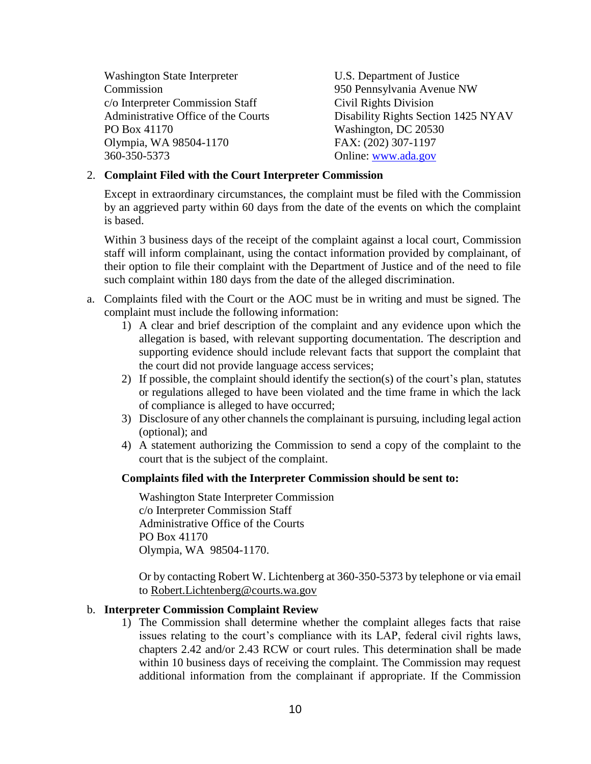Washington State Interpreter Commission c/o Interpreter Commission Staff Administrative Office of the Courts PO Box 41170 Olympia, WA 98504-1170 360-350-5373

U.S. Department of Justice 950 Pennsylvania Avenue NW Civil Rights Division Disability Rights Section 1425 NYAV Washington, DC 20530 FAX: (202) 307-1197 Online: [www.ada.gov](http://www.ada.gov/)

### 2. **Complaint Filed with the Court Interpreter Commission**

Except in extraordinary circumstances, the complaint must be filed with the Commission by an aggrieved party within 60 days from the date of the events on which the complaint is based.

Within 3 business days of the receipt of the complaint against a local court, Commission staff will inform complainant, using the contact information provided by complainant, of their option to file their complaint with the Department of Justice and of the need to file such complaint within 180 days from the date of the alleged discrimination.

- a. Complaints filed with the Court or the AOC must be in writing and must be signed. The complaint must include the following information:
	- 1) A clear and brief description of the complaint and any evidence upon which the allegation is based, with relevant supporting documentation. The description and supporting evidence should include relevant facts that support the complaint that the court did not provide language access services;
	- 2) If possible, the complaint should identify the section(s) of the court's plan, statutes or regulations alleged to have been violated and the time frame in which the lack of compliance is alleged to have occurred;
	- 3) Disclosure of any other channels the complainant is pursuing, including legal action (optional); and
	- 4) A statement authorizing the Commission to send a copy of the complaint to the court that is the subject of the complaint.

#### **Complaints filed with the Interpreter Commission should be sent to:**

Washington State Interpreter Commission c/o Interpreter Commission Staff Administrative Office of the Courts PO Box 41170 Olympia, WA 98504-1170.

Or by contacting Robert W. Lichtenberg at 360-350-5373 by telephone or via email to [Robert.Lichtenberg@courts.wa.gov](mailto:Robert.Lichtenberg@courts.wa.gov)

#### b. **Interpreter Commission Complaint Review**

1) The Commission shall determine whether the complaint alleges facts that raise issues relating to the court's compliance with its LAP, federal civil rights laws, chapters 2.42 and/or 2.43 RCW or court rules. This determination shall be made within 10 business days of receiving the complaint. The Commission may request additional information from the complainant if appropriate. If the Commission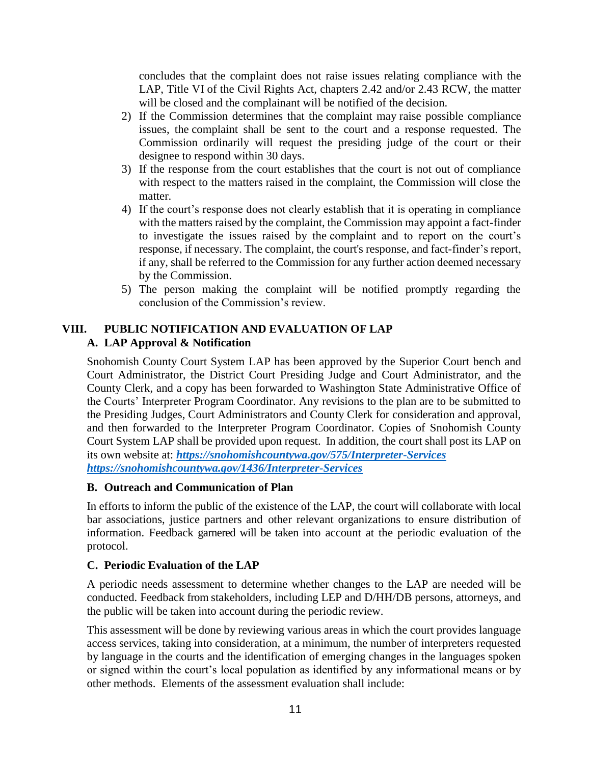concludes that the complaint does not raise issues relating compliance with the LAP, Title VI of the Civil Rights Act, chapters 2.42 and/or 2.43 RCW, the matter will be closed and the complainant will be notified of the decision.

- 2) If the Commission determines that the complaint may raise possible compliance issues, the complaint shall be sent to the court and a response requested. The Commission ordinarily will request the presiding judge of the court or their designee to respond within 30 days.
- 3) If the response from the court establishes that the court is not out of compliance with respect to the matters raised in the complaint, the Commission will close the matter.
- 4) If the court's response does not clearly establish that it is operating in compliance with the matters raised by the complaint, the Commission may appoint a fact-finder to investigate the issues raised by the complaint and to report on the court's response, if necessary. The complaint, the court's response, and fact-finder's report, if any, shall be referred to the Commission for any further action deemed necessary by the Commission.
- 5) The person making the complaint will be notified promptly regarding the conclusion of the Commission's review.

# **VIII. PUBLIC NOTIFICATION AND EVALUATION OF LAP A. LAP Approval & Notification**

Snohomish County Court System LAP has been approved by the Superior Court bench and Court Administrator, the District Court Presiding Judge and Court Administrator, and the County Clerk, and a copy has been forwarded to Washington State Administrative Office of the Courts' Interpreter Program Coordinator. Any revisions to the plan are to be submitted to the Presiding Judges, Court Administrators and County Clerk for consideration and approval, and then forwarded to the Interpreter Program Coordinator. Copies of Snohomish County Court System LAP shall be provided upon request. In addition, the court shall post its LAP on its own website at: *<https://snohomishcountywa.gov/575/Interpreter-Services> <https://snohomishcountywa.gov/1436/Interpreter-Services>*

# **B. Outreach and Communication of Plan**

In efforts to inform the public of the existence of the LAP, the court will collaborate with local bar associations, justice partners and other relevant organizations to ensure distribution of information. Feedback garnered will be taken into account at the periodic evaluation of the protocol.

# **C. Periodic Evaluation of the LAP**

A periodic needs assessment to determine whether changes to the LAP are needed will be conducted. Feedback from stakeholders, including LEP and D/HH/DB persons, attorneys, and the public will be taken into account during the periodic review.

This assessment will be done by reviewing various areas in which the court provides language access services, taking into consideration, at a minimum, the number of interpreters requested by language in the courts and the identification of emerging changes in the languages spoken or signed within the court's local population as identified by any informational means or by other methods. Elements of the assessment evaluation shall include: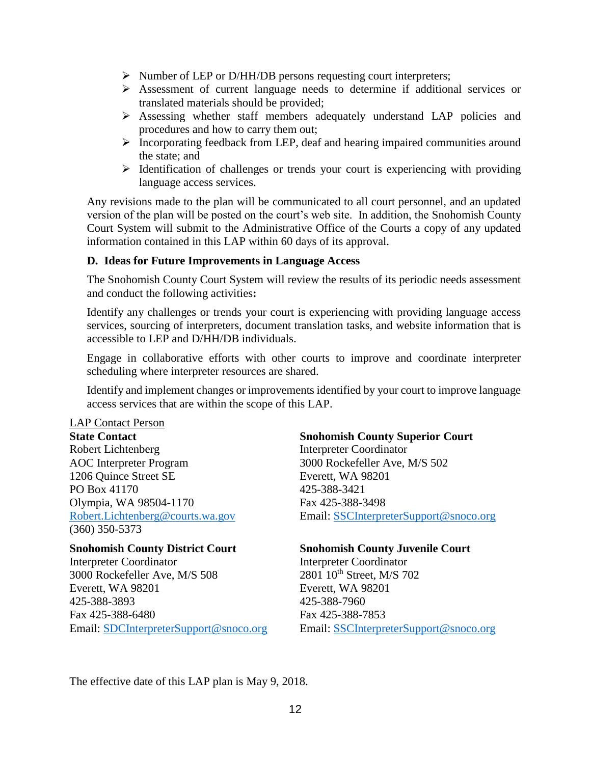- $\triangleright$  Number of LEP or D/HH/DB persons requesting court interpreters;
- Assessment of current language needs to determine if additional services or translated materials should be provided;
- Assessing whether staff members adequately understand LAP policies and procedures and how to carry them out;
- $\triangleright$  Incorporating feedback from LEP, deaf and hearing impaired communities around the state; and
- $\triangleright$  Identification of challenges or trends your court is experiencing with providing language access services.

Any revisions made to the plan will be communicated to all court personnel, and an updated version of the plan will be posted on the court's web site. In addition, the Snohomish County Court System will submit to the Administrative Office of the Courts a copy of any updated information contained in this LAP within 60 days of its approval.

#### **D. Ideas for Future Improvements in Language Access**

The Snohomish County Court System will review the results of its periodic needs assessment and conduct the following activities**:**

Identify any challenges or trends your court is experiencing with providing language access services, sourcing of interpreters, document translation tasks, and website information that is accessible to LEP and D/HH/DB individuals.

Engage in collaborative efforts with other courts to improve and coordinate interpreter scheduling where interpreter resources are shared.

Identify and implement changes or improvements identified by your court to improve language access services that are within the scope of this LAP.

#### LAP Contact Person

**State Contact**

Robert Lichtenberg AOC Interpreter Program 1206 Quince Street SE PO Box 41170 Olympia, WA 98504-1170 [Robert.Lichtenberg@courts.wa.gov](mailto:Robert.Lichtenberg@courts.wa.gov) (360) 350-5373

#### **Snohomish County District Court**

Interpreter Coordinator 3000 Rockefeller Ave, M/S 508 Everett, WA 98201 425-388-3893 Fax 425-388-6480 Email: [SDCInterpreterSupport@snoco.org](mailto:SDCInterpreterSupport@snoco.org)

#### **Snohomish County Superior Court**

Interpreter Coordinator 3000 Rockefeller Ave, M/S 502 Everett, WA 98201 425-388-3421 Fax 425-388-3498 Email: [SSCInterpreterSupport@snoco.org](mailto:SSCInterpreterSupport@snoco.org)

#### **Snohomish County Juvenile Court**

Interpreter Coordinator 2801 10<sup>th</sup> Street, M/S 702 Everett, WA 98201 425-388-7960 Fax 425-388-7853 Email: [SSCInterpreterSupport@snoco.org](mailto:SSCInterpreterSupport@snoco.org)

The effective date of this LAP plan is May 9, 2018.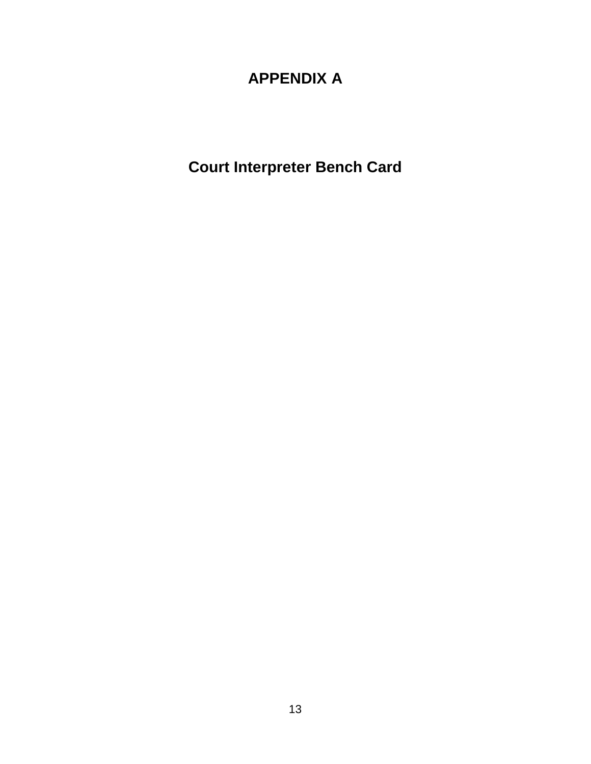# **APPENDIX A**

**Court Interpreter Bench Card**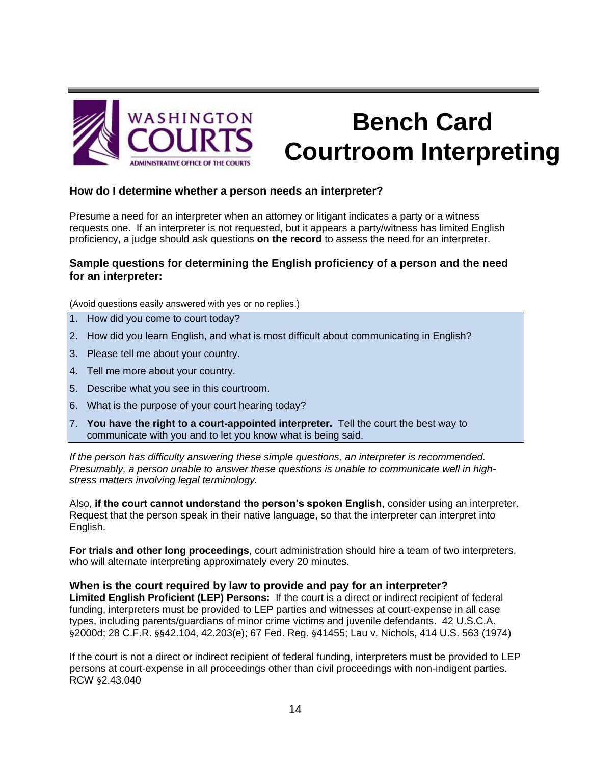

# **Bench Card Courtroom Interpreting**

#### **How do I determine whether a person needs an interpreter?**

Presume a need for an interpreter when an attorney or litigant indicates a party or a witness requests one. If an interpreter is not requested, but it appears a party/witness has limited English proficiency, a judge should ask questions **on the record** to assess the need for an interpreter.

#### **Sample questions for determining the English proficiency of a person and the need for an interpreter:**

(Avoid questions easily answered with yes or no replies.)

- 1. How did you come to court today?
- 2. How did you learn English, and what is most difficult about communicating in English?
- 3. Please tell me about your country.
- 4. Tell me more about your country.
- 5. Describe what you see in this courtroom.
- 6. What is the purpose of your court hearing today?
- 7. **You have the right to a court-appointed interpreter.** Tell the court the best way to communicate with you and to let you know what is being said.

*If the person has difficulty answering these simple questions, an interpreter is recommended. Presumably, a person unable to answer these questions is unable to communicate well in highstress matters involving legal terminology.*

Also, **if the court cannot understand the person's spoken English**, consider using an interpreter. Request that the person speak in their native language, so that the interpreter can interpret into English.

**For trials and other long proceedings**, court administration should hire a team of two interpreters, who will alternate interpreting approximately every 20 minutes.

**When is the court required by law to provide and pay for an interpreter? Limited English Proficient (LEP) Persons:** If the court is a direct or indirect recipient of federal funding, interpreters must be provided to LEP parties and witnesses at court-expense in all case types, including parents/guardians of minor crime victims and juvenile defendants. 42 U.S.C.A. §2000d; 28 C.F.R. §§42.104, 42.203(e); 67 Fed. Reg. §41455; Lau v. Nichols, 414 U.S. 563 (1974)

If the court is not a direct or indirect recipient of federal funding, interpreters must be provided to LEP persons at court-expense in all proceedings other than civil proceedings with non-indigent parties. RCW §2.43.040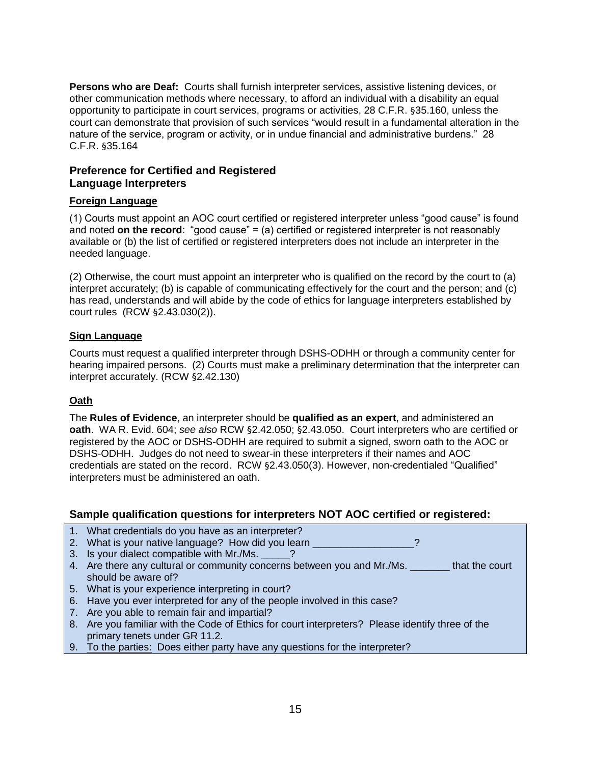**Persons who are Deaf:** Courts shall furnish interpreter services, assistive listening devices, or other communication methods where necessary, to afford an individual with a disability an equal opportunity to participate in court services, programs or activities, 28 C.F.R. §35.160, unless the court can demonstrate that provision of such services "would result in a fundamental alteration in the nature of the service, program or activity, or in undue financial and administrative burdens." 28 C.F.R. §35.164

# **Preference for Certified and Registered Language Interpreters**

#### **Foreign Language**

(1) Courts must appoint an AOC court certified or registered interpreter unless "good cause" is found and noted **on the record**: "good cause" = (a) certified or registered interpreter is not reasonably available or (b) the list of certified or registered interpreters does not include an interpreter in the needed language.

(2) Otherwise, the court must appoint an interpreter who is qualified on the record by the court to (a) interpret accurately; (b) is capable of communicating effectively for the court and the person; and (c) has read, understands and will abide by the code of ethics for language interpreters established by court rules (RCW §2.43.030(2)).

#### **Sign Language**

Courts must request a qualified interpreter through DSHS-ODHH or through a community center for hearing impaired persons. (2) Courts must make a preliminary determination that the interpreter can interpret accurately. (RCW §2.42.130)

#### **Oath**

The **Rules of Evidence**, an interpreter should be **qualified as an expert**, and administered an **oath**. WA R. Evid. 604; *see also* RCW §2.42.050; §2.43.050. Court interpreters who are certified or registered by the AOC or DSHS-ODHH are required to submit a signed, sworn oath to the AOC or DSHS-ODHH. Judges do not need to swear-in these interpreters if their names and AOC credentials are stated on the record. RCW §2.43.050(3). However, non-credentialed "Qualified" interpreters must be administered an oath.

#### **Sample qualification questions for interpreters NOT AOC certified or registered:**

- 1. What credentials do you have as an interpreter?
- 2. What is your native language? How did you learn **the contract of the state of the state**  $\frac{2}{3}$
- 3. Is your dialect compatible with Mr./Ms. 2
- 4. Are there any cultural or community concerns between you and Mr./Ms. That the court should be aware of?
- 5. What is your experience interpreting in court?
- 6. Have you ever interpreted for any of the people involved in this case?
- 7. Are you able to remain fair and impartial?
- 8. Are you familiar with the Code of Ethics for court interpreters? Please identify three of the primary tenets under GR 11.2.
- 9. To the parties: Does either party have any questions for the interpreter?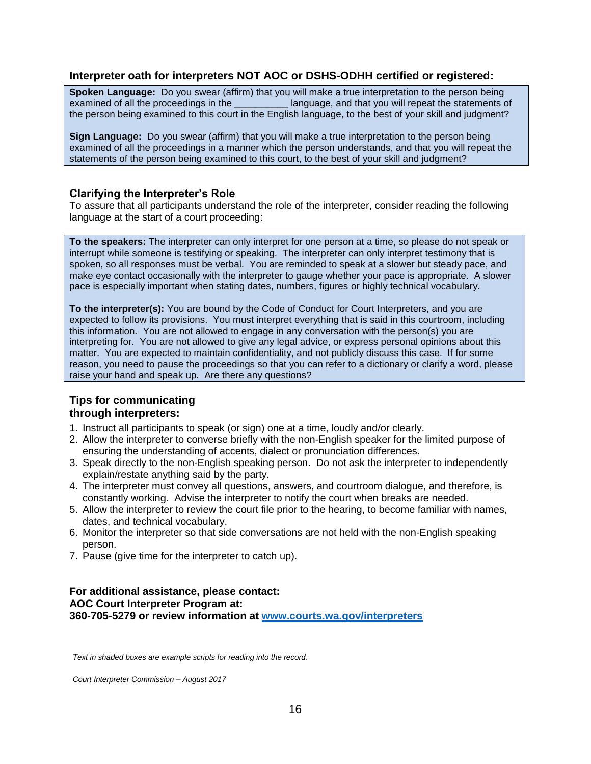#### **Interpreter oath for interpreters NOT AOC or DSHS-ODHH certified or registered:**

**Spoken Language:** Do you swear (affirm) that you will make a true interpretation to the person being examined of all the proceedings in the **Examinism in the value of a** language, and that you will repeat the statements of the person being examined to this court in the English language, to the best of your skill and judgment?

**Sign Language:** Do you swear (affirm) that you will make a true interpretation to the person being examined of all the proceedings in a manner which the person understands, and that you will repeat the statements of the person being examined to this court, to the best of your skill and judgment?

#### **Clarifying the Interpreter's Role**

To assure that all participants understand the role of the interpreter, consider reading the following language at the start of a court proceeding:

**To the speakers:** The interpreter can only interpret for one person at a time, so please do not speak or interrupt while someone is testifying or speaking. The interpreter can only interpret testimony that is spoken, so all responses must be verbal. You are reminded to speak at a slower but steady pace, and make eye contact occasionally with the interpreter to gauge whether your pace is appropriate. A slower pace is especially important when stating dates, numbers, figures or highly technical vocabulary.

**To the interpreter(s):** You are bound by the Code of Conduct for Court Interpreters, and you are expected to follow its provisions. You must interpret everything that is said in this courtroom, including this information. You are not allowed to engage in any conversation with the person(s) you are interpreting for. You are not allowed to give any legal advice, or express personal opinions about this matter. You are expected to maintain confidentiality, and not publicly discuss this case. If for some reason, you need to pause the proceedings so that you can refer to a dictionary or clarify a word, please raise your hand and speak up. Are there any questions?

#### **Tips for communicating through interpreters:**

- 1. Instruct all participants to speak (or sign) one at a time, loudly and/or clearly.
- 2. Allow the interpreter to converse briefly with the non-English speaker for the limited purpose of ensuring the understanding of accents, dialect or pronunciation differences.
- 3. Speak directly to the non-English speaking person. Do not ask the interpreter to independently explain/restate anything said by the party.
- 4. The interpreter must convey all questions, answers, and courtroom dialogue, and therefore, is constantly working. Advise the interpreter to notify the court when breaks are needed.
- 5. Allow the interpreter to review the court file prior to the hearing, to become familiar with names, dates, and technical vocabulary.
- 6. Monitor the interpreter so that side conversations are not held with the non-English speaking person.
- 7. Pause (give time for the interpreter to catch up).

#### **For additional assistance, please contact: AOC Court Interpreter Program at: 360-705-5279 or review information at [www.courts.wa.gov/interpreters](http://www.courts.wa.gov/interpreters)**

*Text in shaded boxes are example scripts for reading into the record.*

*Court Interpreter Commission – August 2017*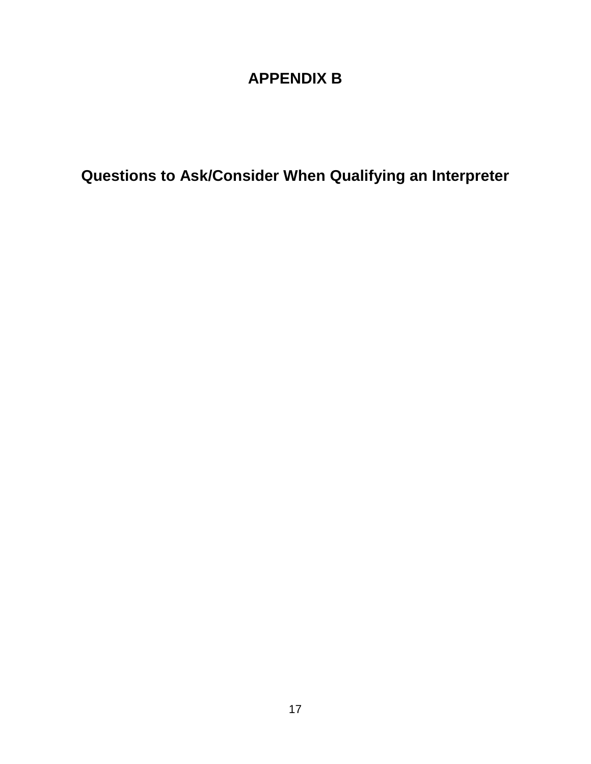# **APPENDIX B**

**Questions to Ask/Consider When Qualifying an Interpreter**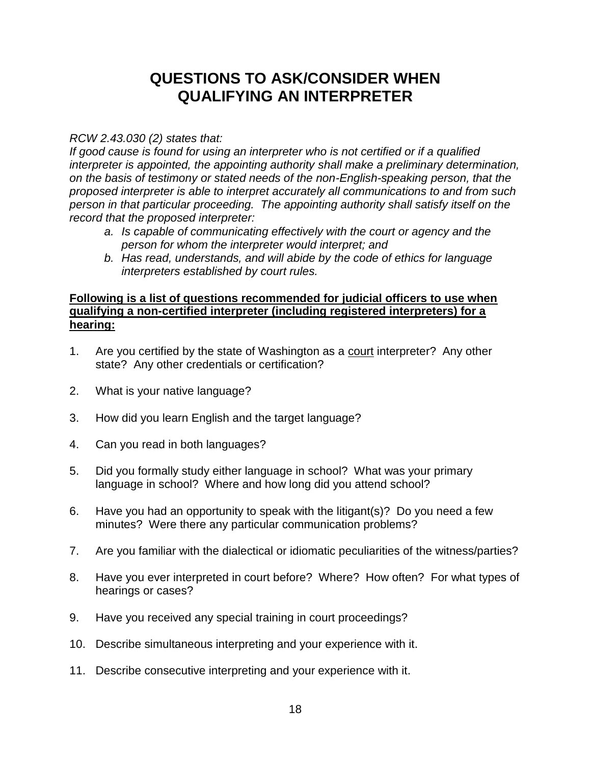# **QUESTIONS TO ASK/CONSIDER WHEN QUALIFYING AN INTERPRETER**

# *RCW 2.43.030 (2) states that:*

*If good cause is found for using an interpreter who is not certified or if a qualified interpreter is appointed, the appointing authority shall make a preliminary determination, on the basis of testimony or stated needs of the non-English-speaking person, that the proposed interpreter is able to interpret accurately all communications to and from such person in that particular proceeding. The appointing authority shall satisfy itself on the record that the proposed interpreter:*

- *a. Is capable of communicating effectively with the court or agency and the person for whom the interpreter would interpret; and*
- *b. Has read, understands, and will abide by the code of ethics for language interpreters established by court rules.*

### **Following is a list of questions recommended for judicial officers to use when qualifying a non-certified interpreter (including registered interpreters) for a hearing:**

- 1. Are you certified by the state of Washington as a court interpreter? Any other state? Any other credentials or certification?
- 2. What is your native language?
- 3. How did you learn English and the target language?
- 4. Can you read in both languages?
- 5. Did you formally study either language in school? What was your primary language in school? Where and how long did you attend school?
- 6. Have you had an opportunity to speak with the litigant(s)? Do you need a few minutes? Were there any particular communication problems?
- 7. Are you familiar with the dialectical or idiomatic peculiarities of the witness/parties?
- 8. Have you ever interpreted in court before? Where? How often? For what types of hearings or cases?
- 9. Have you received any special training in court proceedings?
- 10. Describe simultaneous interpreting and your experience with it.
- 11. Describe consecutive interpreting and your experience with it.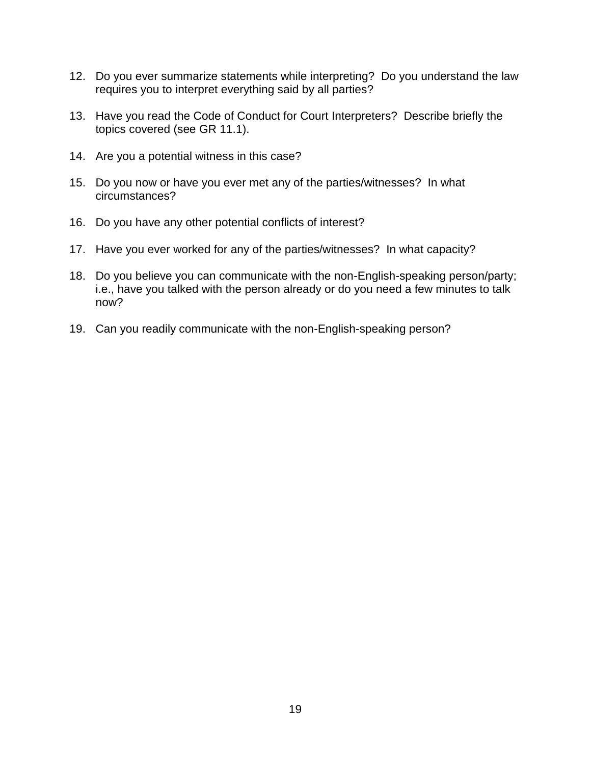- 12. Do you ever summarize statements while interpreting? Do you understand the law requires you to interpret everything said by all parties?
- 13. Have you read the Code of Conduct for Court Interpreters? Describe briefly the topics covered (see GR 11.1).
- 14. Are you a potential witness in this case?
- 15. Do you now or have you ever met any of the parties/witnesses? In what circumstances?
- 16. Do you have any other potential conflicts of interest?
- 17. Have you ever worked for any of the parties/witnesses? In what capacity?
- 18. Do you believe you can communicate with the non-English-speaking person/party; i.e., have you talked with the person already or do you need a few minutes to talk now?
- 19. Can you readily communicate with the non-English-speaking person?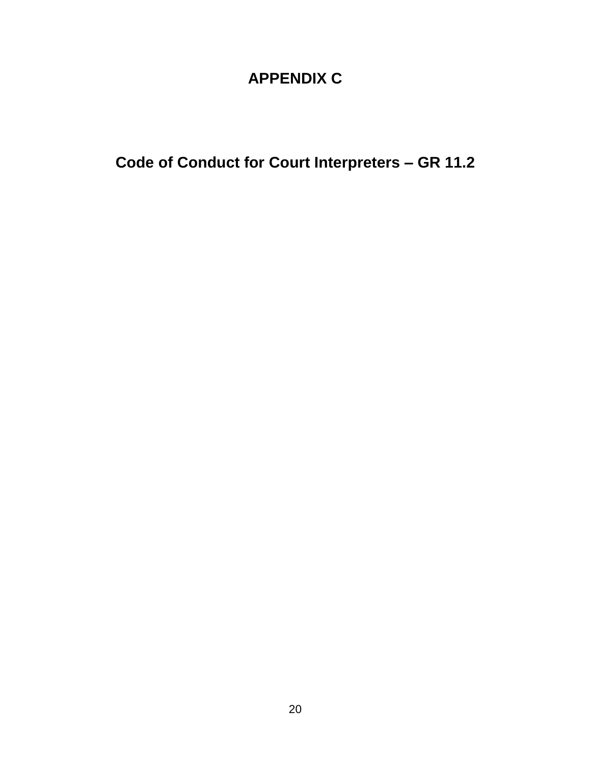# **APPENDIX C**

**Code of Conduct for Court Interpreters – GR 11.2**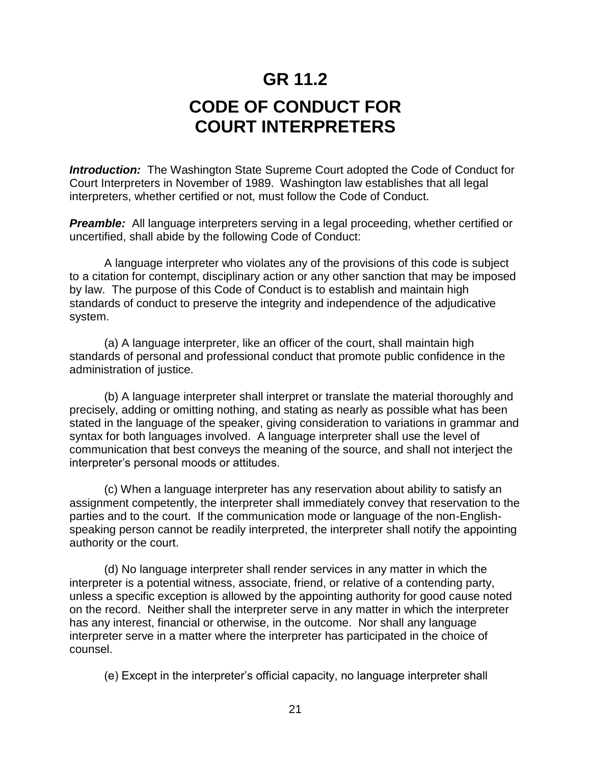# **GR 11.2**

# **CODE OF CONDUCT FOR COURT INTERPRETERS**

*Introduction:* The Washington State Supreme Court adopted the Code of Conduct for Court Interpreters in November of 1989. Washington law establishes that all legal interpreters, whether certified or not, must follow the Code of Conduct.

**Preamble:** All language interpreters serving in a legal proceeding, whether certified or uncertified, shall abide by the following Code of Conduct:

A language interpreter who violates any of the provisions of this code is subject to a citation for contempt, disciplinary action or any other sanction that may be imposed by law. The purpose of this Code of Conduct is to establish and maintain high standards of conduct to preserve the integrity and independence of the adjudicative system.

(a) A language interpreter, like an officer of the court, shall maintain high standards of personal and professional conduct that promote public confidence in the administration of justice.

(b) A language interpreter shall interpret or translate the material thoroughly and precisely, adding or omitting nothing, and stating as nearly as possible what has been stated in the language of the speaker, giving consideration to variations in grammar and syntax for both languages involved. A language interpreter shall use the level of communication that best conveys the meaning of the source, and shall not interject the interpreter's personal moods or attitudes.

(c) When a language interpreter has any reservation about ability to satisfy an assignment competently, the interpreter shall immediately convey that reservation to the parties and to the court. If the communication mode or language of the non-Englishspeaking person cannot be readily interpreted, the interpreter shall notify the appointing authority or the court.

(d) No language interpreter shall render services in any matter in which the interpreter is a potential witness, associate, friend, or relative of a contending party, unless a specific exception is allowed by the appointing authority for good cause noted on the record. Neither shall the interpreter serve in any matter in which the interpreter has any interest, financial or otherwise, in the outcome. Nor shall any language interpreter serve in a matter where the interpreter has participated in the choice of counsel.

(e) Except in the interpreter's official capacity, no language interpreter shall